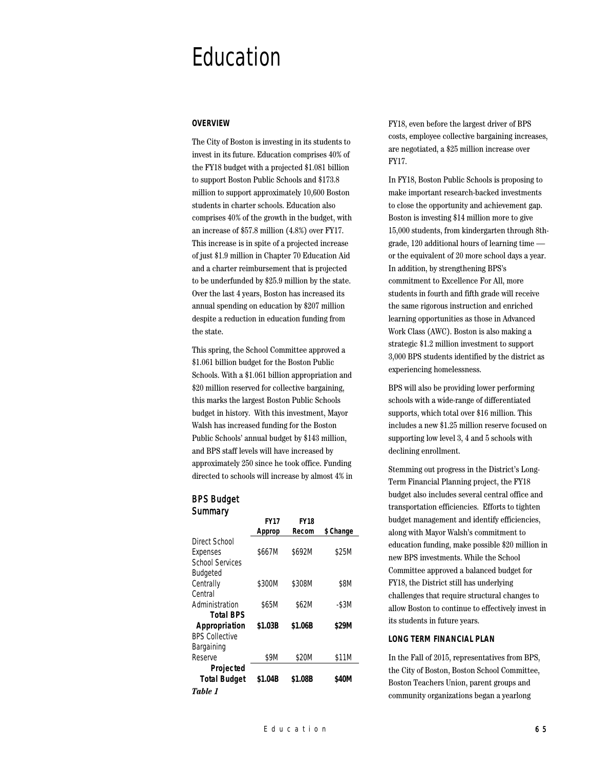# Education

# **OVERVIEW**

The City of Boston is investing in its students to invest in its future. Education comprises 40% of the FY18 budget with a projected \$1.081 billion to support Boston Public Schools and \$173.8 million to support approximately 10,600 Boston students in charter schools. Education also comprises 40% of the growth in the budget, with an increase of \$57.8 million (4.8%) over FY17. This increase is in spite of a projected increase of just \$1.9 million in Chapter 70 Education Aid and a charter reimbursement that is projected to be underfunded by \$25.9 million by the state. Over the last 4 years, Boston has increased its annual spending on education by \$207 million despite a reduction in education funding from the state.

This spring, the School Committee approved a \$1.061 billion budget for the Boston Public Schools. With a \$1.061 billion appropriation and \$20 million reserved for collective bargaining, this marks the largest Boston Public Schools budget in history. With this investment, Mayor Walsh has increased funding for the Boston Public Schools' annual budget by \$143 million, and BPS staff levels will have increased by approximately 250 since he took office. Funding directed to schools will increase by almost 4% in

# BPS Budget **Summary**

|                        | <b>FY17</b> | <b>FY18</b> |           |
|------------------------|-------------|-------------|-----------|
|                        | Approp      | Recom       | \$ Change |
| Direct School          |             |             |           |
| Expenses               | \$667M      | \$692M      | \$25M     |
| <b>School Services</b> |             |             |           |
| <b>Budgeted</b>        |             |             |           |
| Centrally              | \$300M      | \$308M      | \$8M      |
| Central                |             |             |           |
| Administration         | \$65M       | \$62M       | $-$ \$3M  |
| <b>Total BPS</b>       |             |             |           |
| Appropriation          | \$1.03B     | \$1.06B     | \$29M     |
| <b>BPS Collective</b>  |             |             |           |
| Bargaining             |             |             |           |
| Reserve                | \$9M        | \$20M       | \$11M     |
| Projected              |             |             |           |
| <b>Total Budget</b>    | \$1.04B     | \$1.08B     | \$40M     |
| Table 1                |             |             |           |

FY18, even before the largest driver of BPS costs, employee collective bargaining increases, are negotiated, a \$25 million increase over FY17.

In FY18, Boston Public Schools is proposing to make important research-backed investments to close the opportunity and achievement gap. Boston is investing \$14 million more to give 15,000 students, from kindergarten through 8thgrade, 120 additional hours of learning time or the equivalent of 20 more school days a year. In addition, by strengthening BPS's commitment to Excellence For All, more students in fourth and fifth grade will receive the same rigorous instruction and enriched learning opportunities as those in Advanced Work Class (AWC). Boston is also making a strategic \$1.2 million investment to support 3,000 BPS students identified by the district as experiencing homelessness.

BPS will also be providing lower performing schools with a wide-range of differentiated supports, which total over \$16 million. This includes a new \$1.25 million reserve focused on supporting low level 3, 4 and 5 schools with declining enrollment.

Stemming out progress in the District's Long-Term Financial Planning project, the FY18 budget also includes several central office and transportation efficiencies. Efforts to tighten budget management and identify efficiencies, along with Mayor Walsh's commitment to education funding, make possible \$20 million in new BPS investments. While the School Committee approved a balanced budget for FY18, the District still has underlying challenges that require structural changes to allow Boston to continue to effectively invest in its students in future years.

### **LONG TERM FINANCIAL PLAN**

In the Fall of 2015, representatives from BPS, the City of Boston, Boston School Committee, Boston Teachers Union, parent groups and community organizations began a yearlong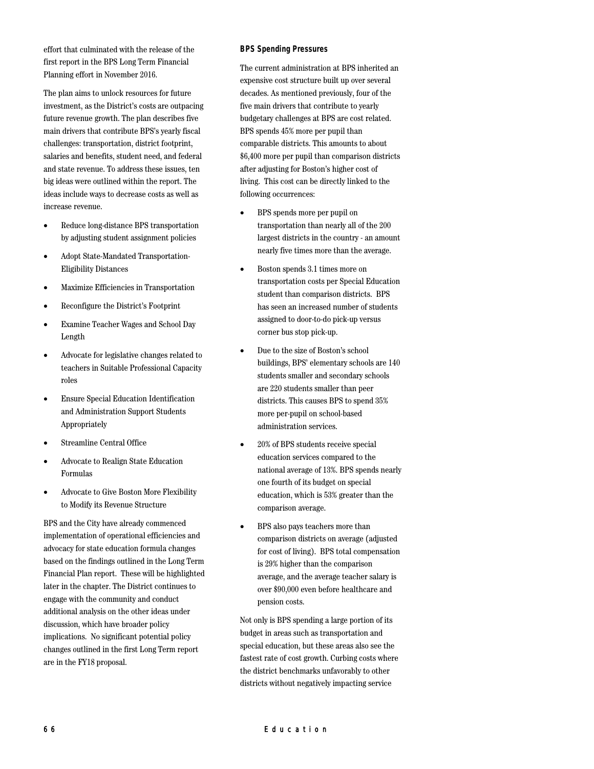effort that culminated with the release of the first report in the BPS Long Term Financial Planning effort in November 2016.

The plan aims to unlock resources for future investment, as the District's costs are outpacing future revenue growth. The plan describes five main drivers that contribute BPS's yearly fiscal challenges: transportation, district footprint, salaries and benefits, student need, and federal and state revenue. To address these issues, ten big ideas were outlined within the report. The ideas include ways to decrease costs as well as increase revenue.

- Reduce long-distance BPS transportation by adjusting student assignment policies
- Adopt State-Mandated Transportation-Eligibility Distances
- Maximize Efficiencies in Transportation
- Reconfigure the District's Footprint
- Examine Teacher Wages and School Day Length
- Advocate for legislative changes related to teachers in Suitable Professional Capacity roles
- Ensure Special Education Identification and Administration Support Students Appropriately
- Streamline Central Office
- Advocate to Realign State Education Formulas
- Advocate to Give Boston More Flexibility to Modify its Revenue Structure

BPS and the City have already commenced implementation of operational efficiencies and advocacy for state education formula changes based on the findings outlined in the Long Term Financial Plan report. These will be highlighted later in the chapter. The District continues to engage with the community and conduct additional analysis on the other ideas under discussion, which have broader policy implications. No significant potential policy changes outlined in the first Long Term report are in the FY18 proposal.

# **BPS Spending Pressures**

The current administration at BPS inherited an expensive cost structure built up over several decades. As mentioned previously, four of the five main drivers that contribute to yearly budgetary challenges at BPS are cost related. BPS spends 45% more per pupil than comparable districts. This amounts to about \$6,400 more per pupil than comparison districts after adjusting for Boston's higher cost of living. This cost can be directly linked to the following occurrences:

- BPS spends more per pupil on transportation than nearly all of the 200 largest districts in the country - an amount nearly five times more than the average.
- Boston spends 3.1 times more on transportation costs per Special Education student than comparison districts. BPS has seen an increased number of students assigned to door-to-do pick-up versus corner bus stop pick-up.
- Due to the size of Boston's school buildings, BPS' elementary schools are 140 students smaller and secondary schools are 220 students smaller than peer districts. This causes BPS to spend 35% more per-pupil on school-based administration services.
- 20% of BPS students receive special education services compared to the national average of 13%. BPS spends nearly one fourth of its budget on special education, which is 53% greater than the comparison average.
- BPS also pays teachers more than comparison districts on average (adjusted for cost of living). BPS total compensation is 29% higher than the comparison average, and the average teacher salary is over \$90,000 even before healthcare and pension costs.

Not only is BPS spending a large portion of its budget in areas such as transportation and special education, but these areas also see the fastest rate of cost growth. Curbing costs where the district benchmarks unfavorably to other districts without negatively impacting service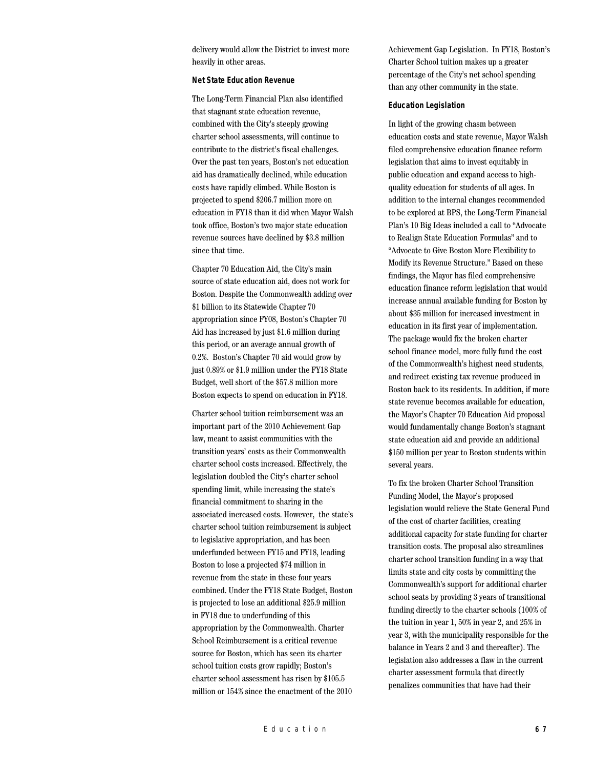delivery would allow the District to invest more heavily in other areas.

## **Net State Education Revenue**

The Long-Term Financial Plan also identified that stagnant state education revenue, combined with the City's steeply growing charter school assessments, will continue to contribute to the district's fiscal challenges. Over the past ten years, Boston's net education aid has dramatically declined, while education costs have rapidly climbed. While Boston is projected to spend \$206.7 million more on education in FY18 than it did when Mayor Walsh took office, Boston's two major state education revenue sources have declined by \$3.8 million since that time.

Chapter 70 Education Aid, the City's main source of state education aid, does not work for Boston. Despite the Commonwealth adding over \$1 billion to its Statewide Chapter 70 appropriation since FY08, Boston's Chapter 70 Aid has increased by just \$1.6 million during this period, or an average annual growth of 0.2%. Boston's Chapter 70 aid would grow by just 0.89% or \$1.9 million under the FY18 State Budget, well short of the \$57.8 million more Boston expects to spend on education in FY18.

Charter school tuition reimbursement was an important part of the 2010 Achievement Gap law, meant to assist communities with the transition years' costs as their Commonwealth charter school costs increased. Effectively, the legislation doubled the City's charter school spending limit, while increasing the state's financial commitment to sharing in the associated increased costs. However, the state's charter school tuition reimbursement is subject to legislative appropriation, and has been underfunded between FY15 and FY18, leading Boston to lose a projected \$74 million in revenue from the state in these four years combined. Under the FY18 State Budget, Boston is projected to lose an additional \$25.9 million in FY18 due to underfunding of this appropriation by the Commonwealth. Charter School Reimbursement is a critical revenue source for Boston, which has seen its charter school tuition costs grow rapidly; Boston's charter school assessment has risen by \$105.5 million or 154% since the enactment of the 2010

Achievement Gap Legislation. In FY18, Boston's Charter School tuition makes up a greater percentage of the City's net school spending than any other community in the state.

#### **Education Legislation**

In light of the growing chasm between education costs and state revenue, Mayor Walsh filed comprehensive education finance reform legislation that aims to invest equitably in public education and expand access to highquality education for students of all ages. In addition to the internal changes recommended to be explored at BPS, the Long-Term Financial Plan's 10 Big Ideas included a call to "Advocate to Realign State Education Formulas" and to "Advocate to Give Boston More Flexibility to Modify its Revenue Structure." Based on these findings, the Mayor has filed comprehensive education finance reform legislation that would increase annual available funding for Boston by about \$35 million for increased investment in education in its first year of implementation. The package would fix the broken charter school finance model, more fully fund the cost of the Commonwealth's highest need students, and redirect existing tax revenue produced in Boston back to its residents. In addition, if more state revenue becomes available for education, the Mayor's Chapter 70 Education Aid proposal would fundamentally change Boston's stagnant state education aid and provide an additional \$150 million per year to Boston students within several years.

To fix the broken Charter School Transition Funding Model, the Mayor's proposed legislation would relieve the State General Fund of the cost of charter facilities, creating additional capacity for state funding for charter transition costs. The proposal also streamlines charter school transition funding in a way that limits state and city costs by committing the Commonwealth's support for additional charter school seats by providing 3 years of transitional funding directly to the charter schools (100% of the tuition in year 1, 50% in year 2, and 25% in year 3, with the municipality responsible for the balance in Years 2 and 3 and thereafter). The legislation also addresses a flaw in the current charter assessment formula that directly penalizes communities that have had their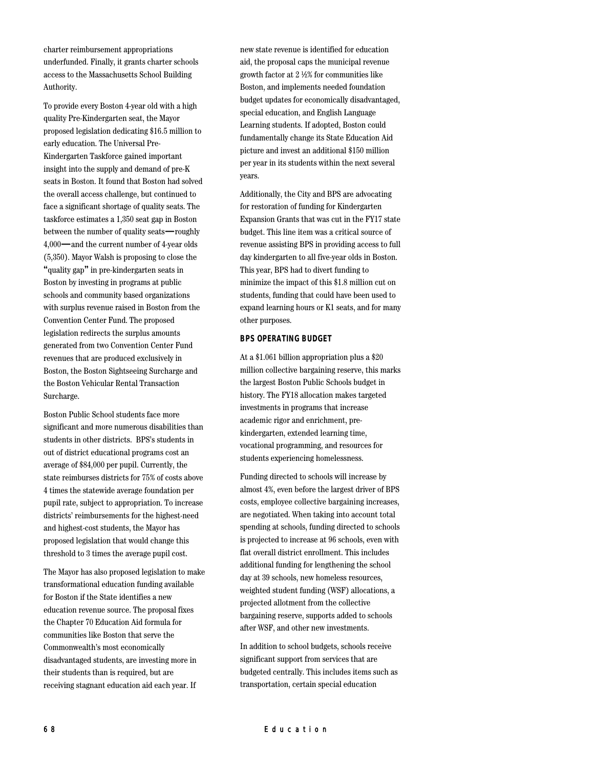charter reimbursement appropriations underfunded. Finally, it grants charter schools access to the Massachusetts School Building Authority.

To provide every Boston 4-year old with a high quality Pre-Kindergarten seat, the Mayor proposed legislation dedicating \$16.5 million to early education. The Universal Pre-Kindergarten Taskforce gained important insight into the supply and demand of pre-K seats in Boston. It found that Boston had solved the overall access challenge, but continued to face a significant shortage of quality seats. The taskforce estimates a 1,350 seat gap in Boston between the number of quality seats—roughly 4,000—and the current number of 4-year olds (5,350). Mayor Walsh is proposing to close the "quality gap" in pre-kindergarten seats in Boston by investing in programs at public schools and community based organizations with surplus revenue raised in Boston from the Convention Center Fund. The proposed legislation redirects the surplus amounts generated from two Convention Center Fund revenues that are produced exclusively in Boston, the Boston Sightseeing Surcharge and the Boston Vehicular Rental Transaction Surcharge.

Boston Public School students face more significant and more numerous disabilities than students in other districts. BPS's students in out of district educational programs cost an average of \$84,000 per pupil. Currently, the state reimburses districts for 75% of costs above 4 times the statewide average foundation per pupil rate, subject to appropriation. To increase districts' reimbursements for the highest-need and highest-cost students, the Mayor has proposed legislation that would change this threshold to 3 times the average pupil cost.

The Mayor has also proposed legislation to make transformational education funding available for Boston if the State identifies a new education revenue source. The proposal fixes the Chapter 70 Education Aid formula for communities like Boston that serve the Commonwealth's most economically disadvantaged students, are investing more in their students than is required, but are receiving stagnant education aid each year. If

new state revenue is identified for education aid, the proposal caps the municipal revenue growth factor at 2 ½% for communities like Boston, and implements needed foundation budget updates for economically disadvantaged, special education, and English Language Learning students. If adopted, Boston could fundamentally change its State Education Aid picture and invest an additional \$150 million per year in its students within the next several years.

Additionally, the City and BPS are advocating for restoration of funding for Kindergarten Expansion Grants that was cut in the FY17 state budget. This line item was a critical source of revenue assisting BPS in providing access to full day kindergarten to all five-year olds in Boston. This year, BPS had to divert funding to minimize the impact of this \$1.8 million cut on students, funding that could have been used to expand learning hours or K1 seats, and for many other purposes.

## **BPS OPERATING BUDGET**

At a \$1.061 billion appropriation plus a \$20 million collective bargaining reserve, this marks the largest Boston Public Schools budget in history. The FY18 allocation makes targeted investments in programs that increase academic rigor and enrichment, prekindergarten, extended learning time, vocational programming, and resources for students experiencing homelessness.

Funding directed to schools will increase by almost 4%, even before the largest driver of BPS costs, employee collective bargaining increases, are negotiated. When taking into account total spending at schools, funding directed to schools is projected to increase at 96 schools, even with flat overall district enrollment. This includes additional funding for lengthening the school day at 39 schools, new homeless resources, weighted student funding (WSF) allocations, a projected allotment from the collective bargaining reserve, supports added to schools after WSF, and other new investments.

In addition to school budgets, schools receive significant support from services that are budgeted centrally. This includes items such as transportation, certain special education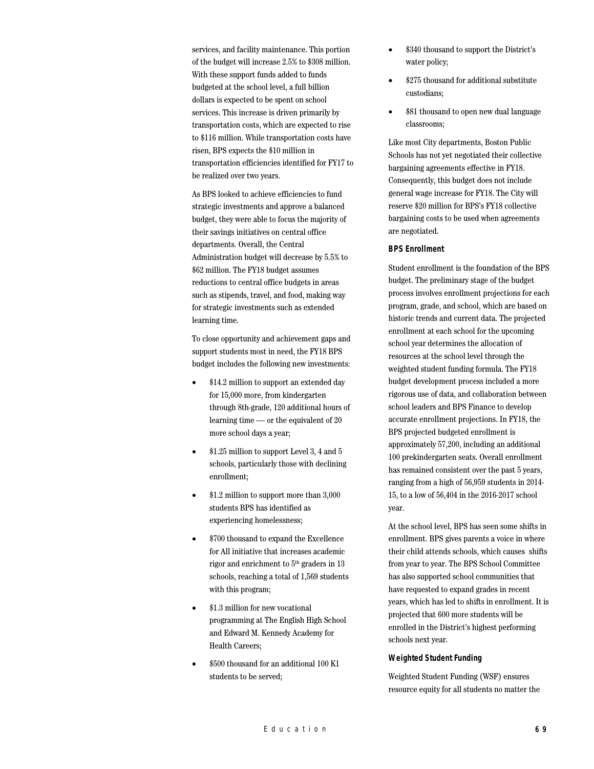services, and facility maintenance. This portion of the budget will increase 2.5% to \$308 million. With these support funds added to funds budgeted at the school level, a full billion dollars is expected to be spent on school services. This increase is driven primarily by transportation costs, which are expected to rise to \$116 million. While transportation costs have risen, BPS expects the \$10 million in transportation efficiencies identified for FY17 to be realized over two years.

As BPS looked to achieve efficiencies to fund strategic investments and approve a balanced budget, they were able to focus the majority of their savings initiatives on central office departments. Overall, the Central Administration budget will decrease by 5.5% to \$62 million. The FY18 budget assumes reductions to central office budgets in areas such as stipends, travel, and food, making way for strategic investments such as extended learning time.

To close opportunity and achievement gaps and support students most in need, the FY18 BPS budget includes the following new investments:

- \$14.2 million to support an extended day for 15,000 more, from kindergarten through 8th-grade, 120 additional hours of learning time — or the equivalent of 20 more school days a year;
- \$1.25 million to support Level 3, 4 and 5 schools, particularly those with declining enrollment;
- \$1.2 million to support more than 3,000 students BPS has identified as experiencing homelessness;
- \$700 thousand to expand the Excellence for All initiative that increases academic rigor and enrichment to  $5<sup>th</sup>$  graders in 13 schools, reaching a total of 1,569 students with this program;
- \$1.3 million for new vocational programming at The English High School and Edward M. Kennedy Academy for Health Careers;
- \$500 thousand for an additional 100 K1 students to be served;
- \$340 thousand to support the District's water policy;
- \$275 thousand for additional substitute custodians;
- \$81 thousand to open new dual language classrooms;

Like most City departments, Boston Public Schools has not yet negotiated their collective bargaining agreements effective in FY18. Consequently, this budget does not include general wage increase for FY18. The City will reserve \$20 million for BPS's FY18 collective bargaining costs to be used when agreements are negotiated.

# **BPS Enrollment**

Student enrollment is the foundation of the BPS budget. The preliminary stage of the budget process involves enrollment projections for each program, grade, and school, which are based on historic trends and current data. The projected enrollment at each school for the upcoming school year determines the allocation of resources at the school level through the weighted student funding formula. The FY18 budget development process included a more rigorous use of data, and collaboration between school leaders and BPS Finance to develop accurate enrollment projections. In FY18, the BPS projected budgeted enrollment is approximately 57,200, including an additional 100 prekindergarten seats. Overall enrollment has remained consistent over the past 5 years, ranging from a high of 56,959 students in 2014- 15, to a low of 56,404 in the 2016-2017 school year.

At the school level, BPS has seen some shifts in enrollment. BPS gives parents a voice in where their child attends schools, which causes shifts from year to year. The BPS School Committee has also supported school communities that have requested to expand grades in recent years, which has led to shifts in enrollment. It is projected that 600 more students will be enrolled in the District's highest performing schools next year.

### **Weighted Student Funding**

Weighted Student Funding (WSF) ensures resource equity for all students no matter the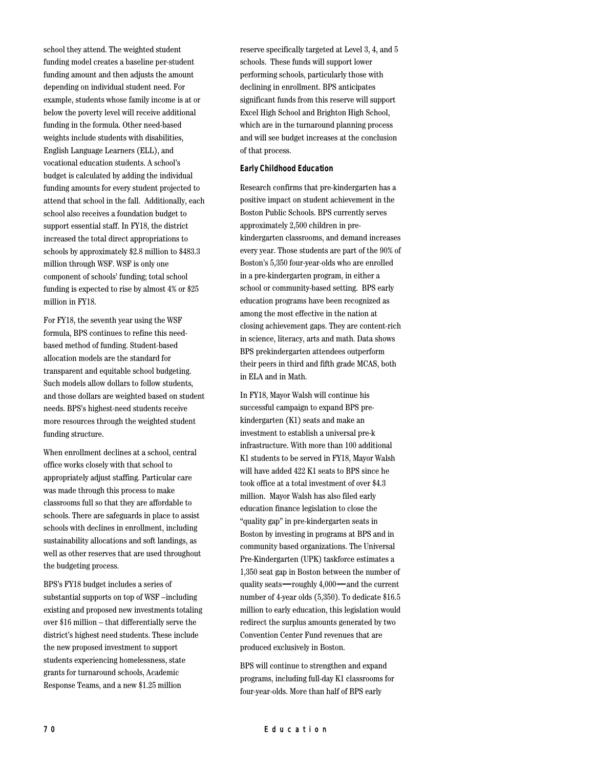school they attend. The weighted student funding model creates a baseline per-student funding amount and then adjusts the amount depending on individual student need. For example, students whose family income is at or below the poverty level will receive additional funding in the formula. Other need-based weights include students with disabilities, English Language Learners (ELL), and vocational education students. A school's budget is calculated by adding the individual funding amounts for every student projected to attend that school in the fall. Additionally, each school also receives a foundation budget to support essential staff. In FY18, the district increased the total direct appropriations to schools by approximately \$2.8 million to \$483.3 million through WSF. WSF is only one component of schools' funding; total school funding is expected to rise by almost 4% or \$25 million in FY18.

For FY18, the seventh year using the WSF formula, BPS continues to refine this needbased method of funding. Student-based allocation models are the standard for transparent and equitable school budgeting. Such models allow dollars to follow students, and those dollars are weighted based on student needs. BPS's highest-need students receive more resources through the weighted student funding structure.

When enrollment declines at a school, central office works closely with that school to appropriately adjust staffing. Particular care was made through this process to make classrooms full so that they are affordable to schools. There are safeguards in place to assist schools with declines in enrollment, including sustainability allocations and soft landings, as well as other reserves that are used throughout the budgeting process.

BPS's FY18 budget includes a series of substantial supports on top of WSF –including existing and proposed new investments totaling over \$16 million – that differentially serve the district's highest need students. These include the new proposed investment to support students experiencing homelessness, state grants for turnaround schools, Academic Response Teams, and a new \$1.25 million

reserve specifically targeted at Level 3, 4, and 5 schools. These funds will support lower performing schools, particularly those with declining in enrollment. BPS anticipates significant funds from this reserve will support Excel High School and Brighton High School, which are in the turnaround planning process and will see budget increases at the conclusion of that process.

## **Early Childhood Education**

Research confirms that pre-kindergarten has a positive impact on student achievement in the Boston Public Schools. BPS currently serves approximately 2,500 children in prekindergarten classrooms, and demand increases every year. Those students are part of the 90% of Boston's 5,350 four-year-olds who are enrolled in a pre-kindergarten program, in either a school or community-based setting. BPS early education programs have been recognized as among the most effective in the nation at closing achievement gaps. They are content-rich in science, literacy, arts and math. Data shows BPS prekindergarten attendees outperform their peers in third and fifth grade MCAS, both in ELA and in Math.

In FY18, Mayor Walsh will continue his successful campaign to expand BPS prekindergarten (K1) seats and make an investment to establish a universal pre-k infrastructure. With more than 100 additional K1 students to be served in FY18, Mayor Walsh will have added 422 K1 seats to BPS since he took office at a total investment of over \$4.3 million. Mayor Walsh has also filed early education finance legislation to close the "quality gap" in pre-kindergarten seats in Boston by investing in programs at BPS and in community based organizations. The Universal Pre-Kindergarten (UPK) taskforce estimates a 1,350 seat gap in Boston between the number of quality seats—roughly 4,000—and the current number of 4-year olds (5,350). To dedicate \$16.5 million to early education, this legislation would redirect the surplus amounts generated by two Convention Center Fund revenues that are produced exclusively in Boston.

BPS will continue to strengthen and expand programs, including full-day K1 classrooms for four-year-olds. More than half of BPS early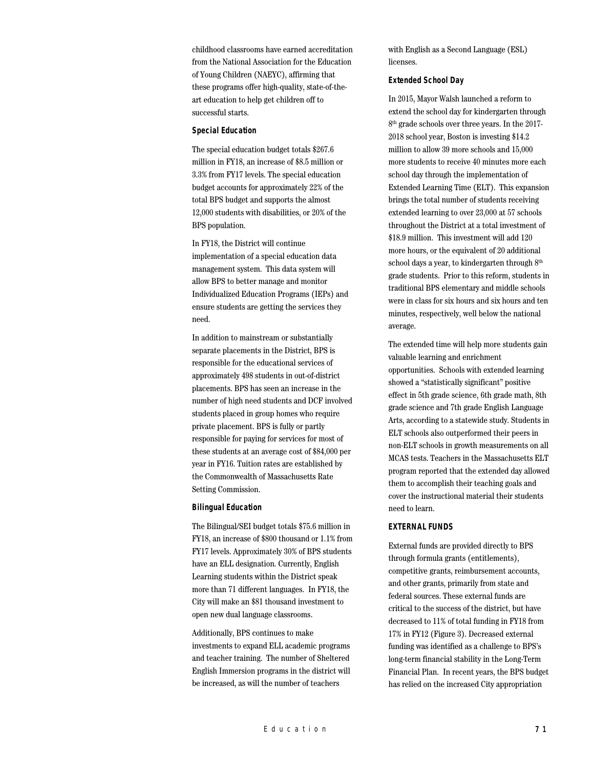childhood classrooms have earned accreditation from the National Association for the Education of Young Children (NAEYC), affirming that these programs offer high-quality, state-of-theart education to help get children off to successful starts.

#### **Special Education**

The special education budget totals \$267.6 million in FY18, an increase of \$8.5 million or 3.3% from FY17 levels. The special education budget accounts for approximately 22% of the total BPS budget and supports the almost 12,000 students with disabilities, or 20% of the BPS population.

In FY18, the District will continue implementation of a special education data management system. This data system will allow BPS to better manage and monitor Individualized Education Programs (IEPs) and ensure students are getting the services they need.

In addition to mainstream or substantially separate placements in the District, BPS is responsible for the educational services of approximately 498 students in out-of-district placements. BPS has seen an increase in the number of high need students and DCF involved students placed in group homes who require private placement. BPS is fully or partly responsible for paying for services for most of these students at an average cost of \$84,000 per year in FY16. Tuition rates are established by the Commonwealth of Massachusetts Rate Setting Commission.

#### **Bilingual Education**

The Bilingual/SEI budget totals \$75.6 million in FY18, an increase of \$800 thousand or 1.1% from FY17 levels. Approximately 30% of BPS students have an ELL designation. Currently, English Learning students within the District speak more than 71 different languages. In FY18, the City will make an \$81 thousand investment to open new dual language classrooms.

Additionally, BPS continues to make investments to expand ELL academic programs and teacher training. The number of Sheltered English Immersion programs in the district will be increased, as will the number of teachers

with English as a Second Language (ESL) licenses.

# **Extended School Day**

In 2015, Mayor Walsh launched a reform to extend the school day for kindergarten through 8<sup>th</sup> grade schools over three years. In the 2017-2018 school year, Boston is investing \$14.2 million to allow 39 more schools and 15,000 more students to receive 40 minutes more each school day through the implementation of Extended Learning Time (ELT). This expansion brings the total number of students receiving extended learning to over 23,000 at 57 schools throughout the District at a total investment of \$18.9 million. This investment will add 120 more hours, or the equivalent of 20 additional school days a year, to kindergarten through  $8<sup>th</sup>$ grade students. Prior to this reform, students in traditional BPS elementary and middle schools were in class for six hours and six hours and ten minutes, respectively, well below the national average.

The extended time will help more students gain valuable learning and enrichment opportunities. Schools with extended learning showed a "statistically significant" positive effect in 5th grade science, 6th grade math, 8th grade science and 7th grade English Language Arts, according to a statewide study. Students in ELT schools also outperformed their peers in non-ELT schools in growth measurements on all MCAS tests. Teachers in the Massachusetts ELT program reported that the extended day allowed them to accomplish their teaching goals and cover the instructional material their students need to learn.

## **EXTERNAL FUNDS**

External funds are provided directly to BPS through formula grants (entitlements), competitive grants, reimbursement accounts, and other grants, primarily from state and federal sources. These external funds are critical to the success of the district, but have decreased to 11% of total funding in FY18 from 17% in FY12 (Figure 3). Decreased external funding was identified as a challenge to BPS's long-term financial stability in the Long-Term Financial Plan. In recent years, the BPS budget has relied on the increased City appropriation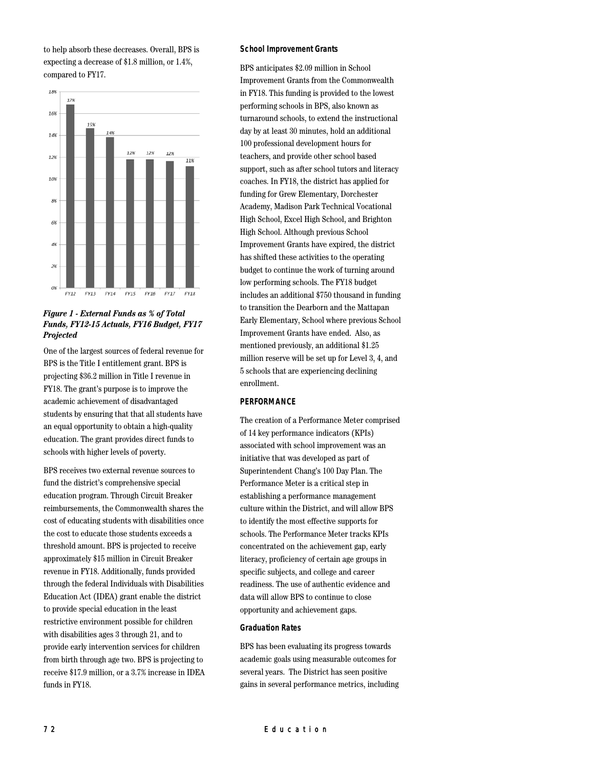to help absorb these decreases. Overall, BPS is expecting a decrease of \$1.8 million, or 1.4%, compared to FY17.



# *Figure 1 - External Funds as % of Total Funds, FY12-15 Actuals, FY16 Budget, FY17 Projected*

One of the largest sources of federal revenue for BPS is the Title I entitlement grant. BPS is projecting \$36.2 million in Title I revenue in FY18. The grant's purpose is to improve the academic achievement of disadvantaged students by ensuring that that all students have an equal opportunity to obtain a high-quality education. The grant provides direct funds to schools with higher levels of poverty.

BPS receives two external revenue sources to fund the district's comprehensive special education program. Through Circuit Breaker reimbursements, the Commonwealth shares the cost of educating students with disabilities once the cost to educate those students exceeds a threshold amount. BPS is projected to receive approximately \$15 million in Circuit Breaker revenue in FY18. Additionally, funds provided through the federal Individuals with Disabilities Education Act (IDEA) grant enable the district to provide special education in the least restrictive environment possible for children with disabilities ages 3 through 21, and to provide early intervention services for children from birth through age two. BPS is projecting to receive \$17.9 million, or a 3.7% increase in IDEA funds in FY18.

## **School Improvement Grants**

BPS anticipates \$2.09 million in School Improvement Grants from the Commonwealth in FY18. This funding is provided to the lowest performing schools in BPS, also known as turnaround schools, to extend the instructional day by at least 30 minutes, hold an additional 100 professional development hours for teachers, and provide other school based support, such as after school tutors and literacy coaches. In FY18, the district has applied for funding for Grew Elementary, Dorchester Academy, Madison Park Technical Vocational High School, Excel High School, and Brighton High School. Although previous School Improvement Grants have expired, the district has shifted these activities to the operating budget to continue the work of turning around low performing schools. The FY18 budget includes an additional \$750 thousand in funding to transition the Dearborn and the Mattapan Early Elementary, School where previous School Improvement Grants have ended. Also, as mentioned previously, an additional \$1.25 million reserve will be set up for Level 3, 4, and 5 schools that are experiencing declining enrollment.

### **PERFORMANCE**

The creation of a Performance Meter comprised of 14 key performance indicators (KPIs) associated with school improvement was an initiative that was developed as part of Superintendent Chang's 100 Day Plan. The Performance Meter is a critical step in establishing a performance management culture within the District, and will allow BPS to identify the most effective supports for schools. The Performance Meter tracks KPIs concentrated on the achievement gap, early literacy, proficiency of certain age groups in specific subjects, and college and career readiness. The use of authentic evidence and data will allow BPS to continue to close opportunity and achievement gaps.

#### **Graduation Rates**

BPS has been evaluating its progress towards academic goals using measurable outcomes for several years. The District has seen positive gains in several performance metrics, including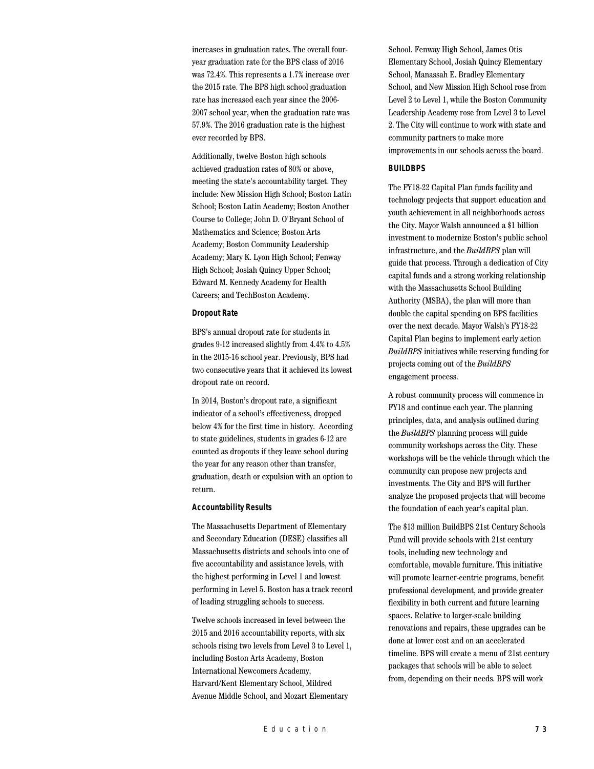increases in graduation rates. The overall fouryear graduation rate for the BPS class of 2016 was 72.4%. This represents a 1.7% increase over the 2015 rate. The BPS high school graduation rate has increased each year since the 2006- 2007 school year, when the graduation rate was 57.9%. The 2016 graduation rate is the highest ever recorded by BPS.

Additionally, twelve Boston high schools achieved graduation rates of 80% or above, meeting the state's accountability target. They include: New Mission High School; Boston Latin School; Boston Latin Academy; Boston Another Course to College; John D. O'Bryant School of Mathematics and Science; Boston Arts Academy; Boston Community Leadership Academy; Mary K. Lyon High School; Fenway High School; Josiah Quincy Upper School; Edward M. Kennedy Academy for Health Careers; and TechBoston Academy.

### **Dropout Rate**

BPS's annual dropout rate for students in grades 9-12 increased slightly from 4.4% to 4.5% in the 2015-16 school year. Previously, BPS had two consecutive years that it achieved its lowest dropout rate on record.

In 2014, Boston's dropout rate, a significant indicator of a school's effectiveness, dropped below 4% for the first time in history. According to state guidelines, students in grades 6-12 are counted as dropouts if they leave school during the year for any reason other than transfer, graduation, death or expulsion with an option to return.

## **Accountability Results**

The Massachusetts Department of Elementary and Secondary Education (DESE) classifies all Massachusetts districts and schools into one of five accountability and assistance levels, with the highest performing in Level 1 and lowest performing in Level 5. Boston has a track record of leading struggling schools to success.

Twelve schools increased in level between the 2015 and 2016 accountability reports, with six schools rising two levels from Level 3 to Level 1, including Boston Arts Academy, Boston International Newcomers Academy, Harvard/Kent Elementary School, Mildred Avenue Middle School, and Mozart Elementary

School. Fenway High School, James Otis Elementary School, Josiah Quincy Elementary School, Manassah E. Bradley Elementary School, and New Mission High School rose from Level 2 to Level 1, while the Boston Community Leadership Academy rose from Level 3 to Level 2. The City will continue to work with state and community partners to make more improvements in our schools across the board.

### **BUILDBPS**

The FY18-22 Capital Plan funds facility and technology projects that support education and youth achievement in all neighborhoods across the City. Mayor Walsh announced a \$1 billion investment to modernize Boston's public school infrastructure, and the *BuildBPS* plan will guide that process. Through a dedication of City capital funds and a strong working relationship with the Massachusetts School Building Authority (MSBA), the plan will more than double the capital spending on BPS facilities over the next decade. Mayor Walsh's FY18-22 Capital Plan begins to implement early action *BuildBPS* initiatives while reserving funding for projects coming out of the *BuildBPS* engagement process.

A robust community process will commence in FY18 and continue each year. The planning principles, data, and analysis outlined during the *BuildBPS* planning process will guide community workshops across the City. These workshops will be the vehicle through which the community can propose new projects and investments. The City and BPS will further analyze the proposed projects that will become the foundation of each year's capital plan.

The \$13 million BuildBPS 21st Century Schools Fund will provide schools with 21st century tools, including new technology and comfortable, movable furniture. This initiative will promote learner-centric programs, benefit professional development, and provide greater flexibility in both current and future learning spaces. Relative to larger-scale building renovations and repairs, these upgrades can be done at lower cost and on an accelerated timeline. BPS will create a menu of 21st century packages that schools will be able to select from, depending on their needs. BPS will work